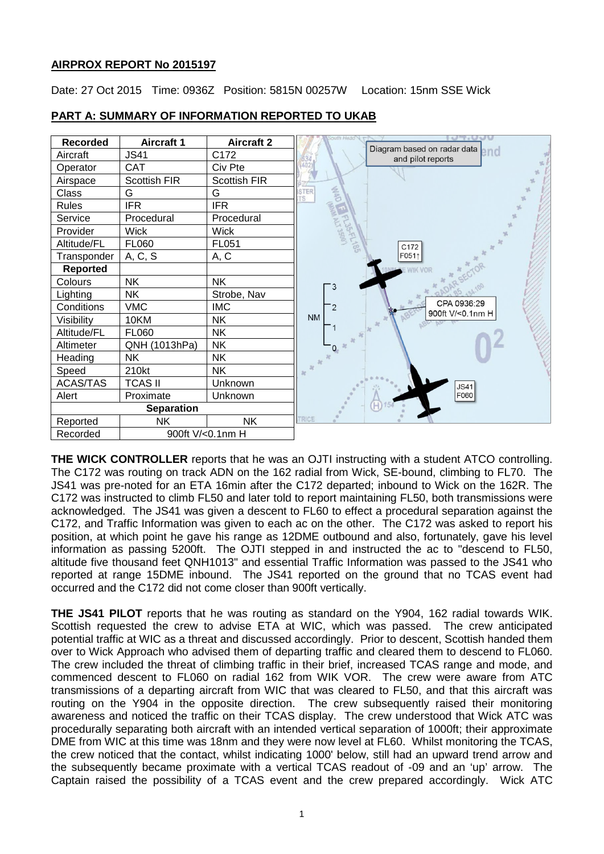# **AIRPROX REPORT No 2015197**

Date: 27 Oct 2015 Time: 0936Z Position: 5815N 00257W Location: 15nm SSE Wick



# **PART A: SUMMARY OF INFORMATION REPORTED TO UKAB**

**THE WICK CONTROLLER** reports that he was an OJTI instructing with a student ATCO controlling. The C172 was routing on track ADN on the 162 radial from Wick, SE-bound, climbing to FL70. The JS41 was pre-noted for an ETA 16min after the C172 departed; inbound to Wick on the 162R. The C172 was instructed to climb FL50 and later told to report maintaining FL50, both transmissions were acknowledged. The JS41 was given a descent to FL60 to effect a procedural separation against the C172, and Traffic Information was given to each ac on the other. The C172 was asked to report his position, at which point he gave his range as 12DME outbound and also, fortunately, gave his level information as passing 5200ft. The OJTI stepped in and instructed the ac to "descend to FL50, altitude five thousand feet QNH1013" and essential Traffic Information was passed to the JS41 who reported at range 15DME inbound. The JS41 reported on the ground that no TCAS event had occurred and the C172 did not come closer than 900ft vertically.

**THE JS41 PILOT** reports that he was routing as standard on the Y904, 162 radial towards WIK. Scottish requested the crew to advise ETA at WIC, which was passed. The crew anticipated potential traffic at WIC as a threat and discussed accordingly. Prior to descent, Scottish handed them over to Wick Approach who advised them of departing traffic and cleared them to descend to FL060. The crew included the threat of climbing traffic in their brief, increased TCAS range and mode, and commenced descent to FL060 on radial 162 from WIK VOR. The crew were aware from ATC transmissions of a departing aircraft from WIC that was cleared to FL50, and that this aircraft was routing on the Y904 in the opposite direction. The crew subsequently raised their monitoring awareness and noticed the traffic on their TCAS display. The crew understood that Wick ATC was procedurally separating both aircraft with an intended vertical separation of 1000ft; their approximate DME from WIC at this time was 18nm and they were now level at FL60. Whilst monitoring the TCAS, the crew noticed that the contact, whilst indicating 1000' below, still had an upward trend arrow and the subsequently became proximate with a vertical TCAS readout of -09 and an 'up' arrow. The Captain raised the possibility of a TCAS event and the crew prepared accordingly. Wick ATC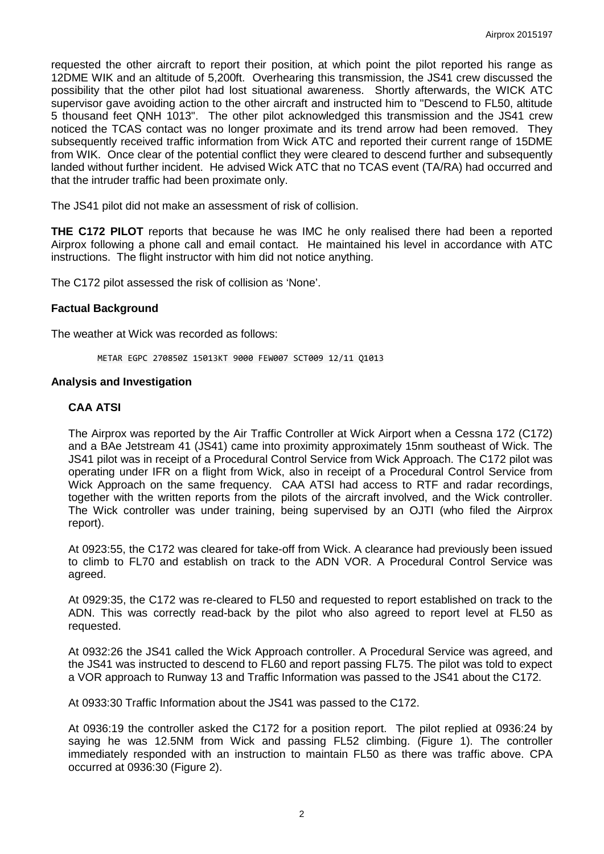requested the other aircraft to report their position, at which point the pilot reported his range as 12DME WIK and an altitude of 5,200ft. Overhearing this transmission, the JS41 crew discussed the possibility that the other pilot had lost situational awareness. Shortly afterwards, the WICK ATC supervisor gave avoiding action to the other aircraft and instructed him to "Descend to FL50, altitude 5 thousand feet QNH 1013". The other pilot acknowledged this transmission and the JS41 crew noticed the TCAS contact was no longer proximate and its trend arrow had been removed. They subsequently received traffic information from Wick ATC and reported their current range of 15DME from WIK. Once clear of the potential conflict they were cleared to descend further and subsequently landed without further incident. He advised Wick ATC that no TCAS event (TA/RA) had occurred and that the intruder traffic had been proximate only.

The JS41 pilot did not make an assessment of risk of collision.

**THE C172 PILOT** reports that because he was IMC he only realised there had been a reported Airprox following a phone call and email contact. He maintained his level in accordance with ATC instructions. The flight instructor with him did not notice anything.

The C172 pilot assessed the risk of collision as 'None'.

### **Factual Background**

The weather at Wick was recorded as follows:

METAR EGPC 270850Z 15013KT 9000 FEW007 SCT009 12/11 Q1013

## **Analysis and Investigation**

## **CAA ATSI**

The Airprox was reported by the Air Traffic Controller at Wick Airport when a Cessna 172 (C172) and a BAe Jetstream 41 (JS41) came into proximity approximately 15nm southeast of Wick. The JS41 pilot was in receipt of a Procedural Control Service from Wick Approach. The C172 pilot was operating under IFR on a flight from Wick, also in receipt of a Procedural Control Service from Wick Approach on the same frequency. CAA ATSI had access to RTF and radar recordings, together with the written reports from the pilots of the aircraft involved, and the Wick controller. The Wick controller was under training, being supervised by an OJTI (who filed the Airprox report).

At 0923:55, the C172 was cleared for take-off from Wick. A clearance had previously been issued to climb to FL70 and establish on track to the ADN VOR. A Procedural Control Service was agreed.

At 0929:35, the C172 was re-cleared to FL50 and requested to report established on track to the ADN. This was correctly read-back by the pilot who also agreed to report level at FL50 as requested.

At 0932:26 the JS41 called the Wick Approach controller. A Procedural Service was agreed, and the JS41 was instructed to descend to FL60 and report passing FL75. The pilot was told to expect a VOR approach to Runway 13 and Traffic Information was passed to the JS41 about the C172.

At 0933:30 Traffic Information about the JS41 was passed to the C172.

At 0936:19 the controller asked the C172 for a position report. The pilot replied at 0936:24 by saying he was 12.5NM from Wick and passing FL52 climbing. (Figure 1). The controller immediately responded with an instruction to maintain FL50 as there was traffic above. CPA occurred at 0936:30 (Figure 2).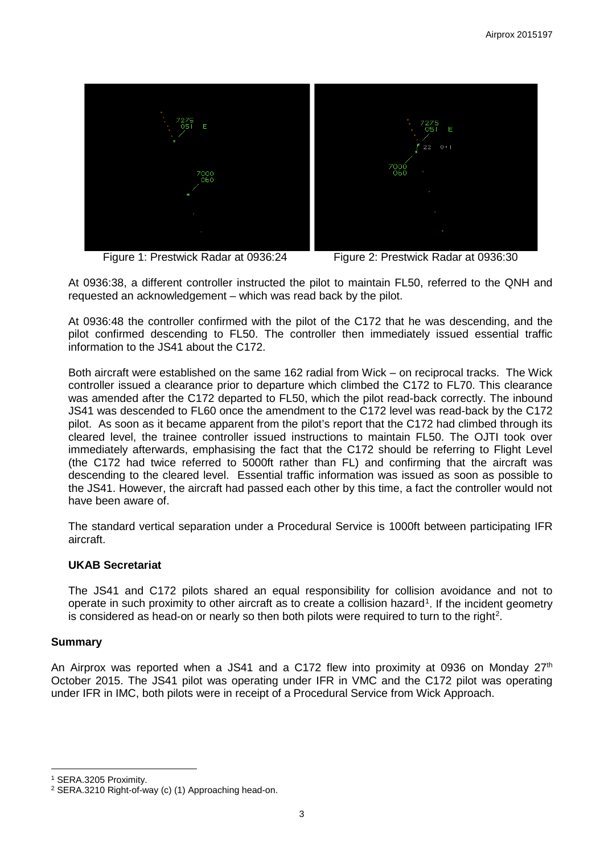

Figure 1: Prestwick Radar at 0936:24 Figure 2: Prestwick Radar at 0936:30

At 0936:38, a different controller instructed the pilot to maintain FL50, referred to the QNH and requested an acknowledgement – which was read back by the pilot.

At 0936:48 the controller confirmed with the pilot of the C172 that he was descending, and the pilot confirmed descending to FL50. The controller then immediately issued essential traffic information to the JS41 about the C172.

Both aircraft were established on the same 162 radial from Wick – on reciprocal tracks. The Wick controller issued a clearance prior to departure which climbed the C172 to FL70. This clearance was amended after the C172 departed to FL50, which the pilot read-back correctly. The inbound JS41 was descended to FL60 once the amendment to the C172 level was read-back by the C172 pilot. As soon as it became apparent from the pilot's report that the C172 had climbed through its cleared level, the trainee controller issued instructions to maintain FL50. The OJTI took over immediately afterwards, emphasising the fact that the C172 should be referring to Flight Level (the C172 had twice referred to 5000ft rather than FL) and confirming that the aircraft was descending to the cleared level. Essential traffic information was issued as soon as possible to the JS41. However, the aircraft had passed each other by this time, a fact the controller would not have been aware of.

The standard vertical separation under a Procedural Service is 1000ft between participating IFR aircraft.

# **UKAB Secretariat**

The JS41 and C172 pilots shared an equal responsibility for collision avoidance and not to operate in such proximity to other aircraft as to create a collision hazard<sup>[1](#page-2-0)</sup>. If the incident geometry is considered as head-on or nearly so then both pilots were required to turn to the right<sup>[2](#page-2-1)</sup>.

## **Summary**

l

An Airprox was reported when a JS41 and a C172 flew into proximity at 0936 on Monday  $27<sup>th</sup>$ October 2015. The JS41 pilot was operating under IFR in VMC and the C172 pilot was operating under IFR in IMC, both pilots were in receipt of a Procedural Service from Wick Approach.

<span id="page-2-0"></span><sup>1</sup> SERA.3205 Proximity.

<span id="page-2-1"></span><sup>2</sup> SERA.3210 Right-of-way (c) (1) Approaching head-on.